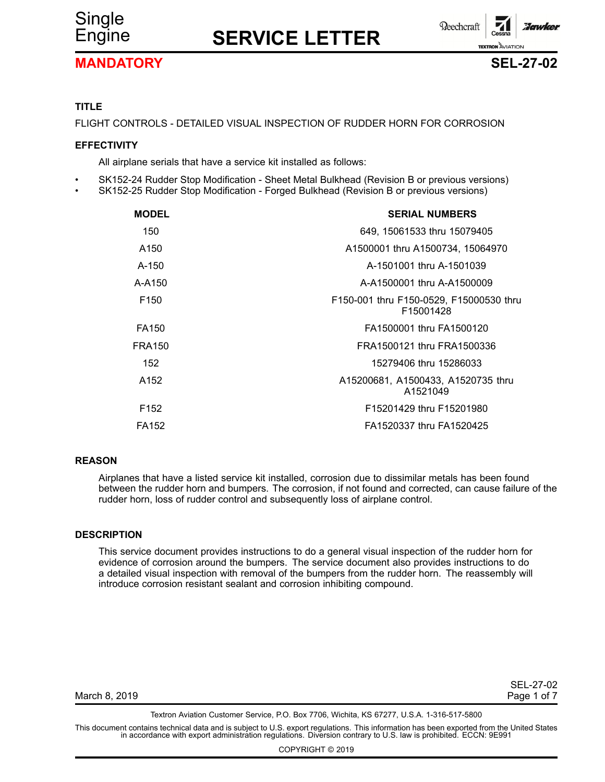

## Engine **SERVICE LETTER**



**Reechcraft** :Jawkel **TEXTRON** AVIATION



## **TITLE**

FLIGHT CONTROLS - DETAILED VISUAL INSPECTION OF RUDDER HORN FOR CORROSION

## **EFFECTIVITY**

All airplane serials that have <sup>a</sup> service kit installed as follows:

- •SK152-24 Rudder Stop Modification - Sheet Metal Bulkhead (Revision B or previous versions)
- •SK152-25 Rudder Stop Modification - Forged Bulkhead (Revision B or previous versions)

| <b>SERIAL NUMBERS</b>                                |
|------------------------------------------------------|
| 649, 15061533 thru 15079405                          |
| A1500001 thru A1500734, 15064970                     |
| A-1501001 thru A-1501039                             |
| A-A1500001 thru A-A1500009                           |
| F150-001 thru F150-0529, F15000530 thru<br>F15001428 |
| FA1500001 thru FA1500120                             |
| FRA1500121 thru FRA1500336                           |
| 15279406 thru 15286033                               |
| A15200681, A1500433, A1520735 thru<br>A1521049       |
| F15201429 thru F15201980                             |
| FA1520337 thru FA1520425                             |
|                                                      |

## **REASON**

Airplanes that have <sup>a</sup> listed service kit installed, corrosion due to dissimilar metals has been found between the rudder horn and bumpers. The corrosion, if not found and corrected, can cause failure of the rudder horn, loss of rudder control and subsequently loss of airplane control.

## **DESCRIPTION**

This service document provides instructions to do <sup>a</sup> general visual inspection of the rudder horn for evidence of corrosion around the bumpers. The service document also provides instructions to do <sup>a</sup> detailed visual inspection with removal of the bumpers from the rudder horn. The reassembly will introduce corrosion resistant sealant and corrosion inhibiting compound.

| SEL-27-02   |  |  |
|-------------|--|--|
| Page 1 of 7 |  |  |

March 8, 2019

Textron Aviation Customer Service, P.O. Box 7706, Wichita, KS 67277, U.S.A. 1-316-517-5800

This document contains technical data and is subject to U.S. export regulations. This information has been exported from the United States<br>in accordance with export administration regulations. Diversion contrary to U.S. la

COPYRIGHT © 2019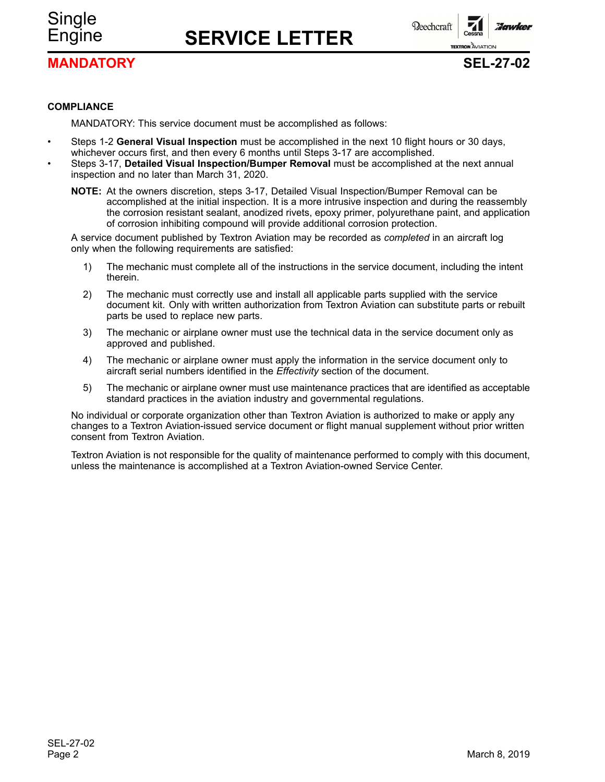# Single

## Engine **SERVICE LETTER**

**MANDATORY SEL-27-02**

**Beechcraft** 

**TEXTRON AVIATION** 

## **COMPLIANCE**

MANDATORY: This service document must be accomplished as follows:

- • Steps 1-2 **General Visual Inspection** must be accomplished in the next 10 flight hours or 30 days, whichever occurs first, and then every 6 months until Steps 3-17 are accomplished.
- • Steps 3-17, **Detailed Visual Inspection/Bumper Removal** must be accomplished at the next annual inspection and no later than March 31, 2020.
	- **NOTE:** At the owners discretion, steps 3-17, Detailed Visual Inspection/Bumper Removal can be accomplished at the initial inspection. It is <sup>a</sup> more intrusive inspection and during the reassembly the corrosion resistant sealant, anodized rivets, epoxy primer, polyurethane paint, and application of corrosion inhibiting compound will provide additional corrosion protection.

A service document published by Textron Aviation may be recorded as *completed* in an aircraft log only when the following requirements are satisfied:

- 1) The mechanic must complete all of the instructions in the service document, including the intent therein.
- 2) The mechanic must correctly use and install all applicable parts supplied with the service document kit. Only with written authorization from Textron Aviation can substitute parts or rebuilt parts be used to replace new parts.
- 3) The mechanic or airplane owner must use the technical data in the service document only as approved and published.
- 4) The mechanic or airplane owner must apply the information in the service document only to aircraft serial numbers identified in the *Effectivity* section of the document.
- 5) The mechanic or airplane owner must use maintenance practices that are identified as acceptable standard practices in the aviation industry and governmental regulations.

No individual or corporate organization other than Textron Aviation is authorized to make or apply any changes to <sup>a</sup> Textron Aviation-issued service document or flight manual supplement without prior written consent from Textron Aviation.

Textron Aviation is not responsible for the quality of maintenance performed to comply with this document, unless the maintenance is accomplished at <sup>a</sup> Textron Aviation-owned Service Center.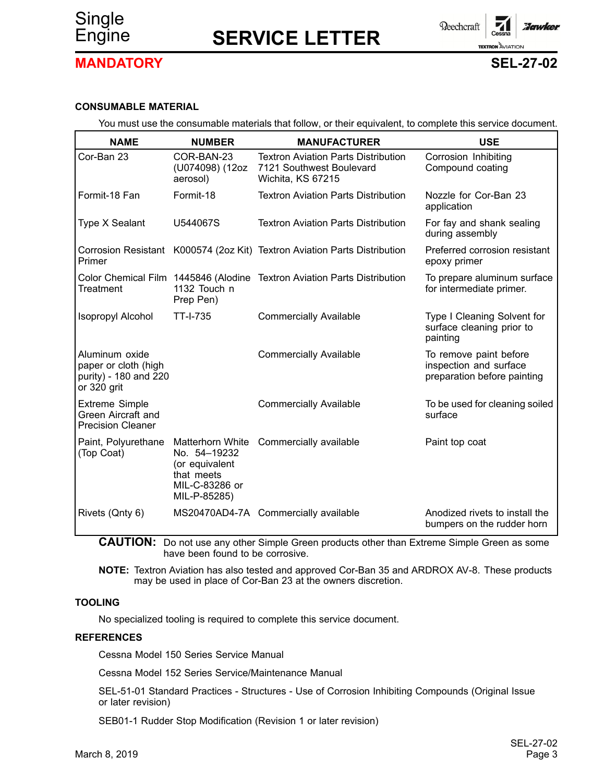

## Engine **SERVICE LETTER**



## **MANDATORY SEL-27-02**

## **CONSUMABLE MATERIAL**

You must use the consumable materials that follow, or their equivalent, to complete this service document.

| <b>NAME</b>                                                                    | <b>NUMBER</b>                                                                                      | <b>MANUFACTURER</b>                                                                         | <b>USE</b>                                                                      |
|--------------------------------------------------------------------------------|----------------------------------------------------------------------------------------------------|---------------------------------------------------------------------------------------------|---------------------------------------------------------------------------------|
| Cor-Ban 23                                                                     | COR-BAN-23<br>(U074098) (12oz<br>aerosol)                                                          | <b>Textron Aviation Parts Distribution</b><br>7121 Southwest Boulevard<br>Wichita, KS 67215 | Corrosion Inhibiting<br>Compound coating                                        |
| Formit-18 Fan                                                                  | Formit-18                                                                                          | <b>Textron Aviation Parts Distribution</b>                                                  | Nozzle for Cor-Ban 23<br>application                                            |
| Type X Sealant                                                                 | U544067S                                                                                           | <b>Textron Aviation Parts Distribution</b>                                                  | For fay and shank sealing<br>during assembly                                    |
| Primer                                                                         |                                                                                                    | Corrosion Resistant K000574 (2oz Kit) Textron Aviation Parts Distribution                   | Preferred corrosion resistant<br>epoxy primer                                   |
| <b>Treatment</b>                                                               | 1132 Touch n<br>Prep Pen)                                                                          | Color Chemical Film 1445846 (Alodine Textron Aviation Parts Distribution                    | To prepare aluminum surface<br>for intermediate primer.                         |
| Isopropyl Alcohol                                                              | <b>TT-I-735</b>                                                                                    | <b>Commercially Available</b>                                                               | Type I Cleaning Solvent for<br>surface cleaning prior to<br>painting            |
| Aluminum oxide<br>paper or cloth (high<br>purity) - 180 and 220<br>or 320 grit |                                                                                                    | <b>Commercially Available</b>                                                               | To remove paint before<br>inspection and surface<br>preparation before painting |
| <b>Extreme Simple</b><br>Green Aircraft and<br><b>Precision Cleaner</b>        |                                                                                                    | <b>Commercially Available</b>                                                               | To be used for cleaning soiled<br>surface                                       |
| Paint, Polyurethane<br>(Top Coat)                                              | Matterhorn White<br>No. 54-19232<br>(or equivalent<br>that meets<br>MIL-C-83286 or<br>MIL-P-85285) | Commercially available                                                                      | Paint top coat                                                                  |
| Rivets (Qnty 6)                                                                |                                                                                                    | MS20470AD4-7A Commercially available                                                        | Anodized rivets to install the<br>bumpers on the rudder horn                    |

**CAUTION:** Do not use any other Simple Green products other than Extreme Simple Green as some have been found to be corrosive.

**NOTE:** Textron Aviation has also tested and approved Cor-Ban 35 and ARDROX AV-8. These products may be used in place of Cor-Ban 23 at the owners discretion.

## **TOOLING**

No specialized tooling is required to complete this service document.

## **REFERENCES**

Cessna Model 150 Series Service Manual

Cessna Model 152 Series Service/Maintenance Manual

SEL-51-01 Standard Practices - Structures - Use of Corrosion Inhibiting Compounds (Original Issue or later revision)

SEB01-1 Rudder Stop Modification (Revision 1 or later revision)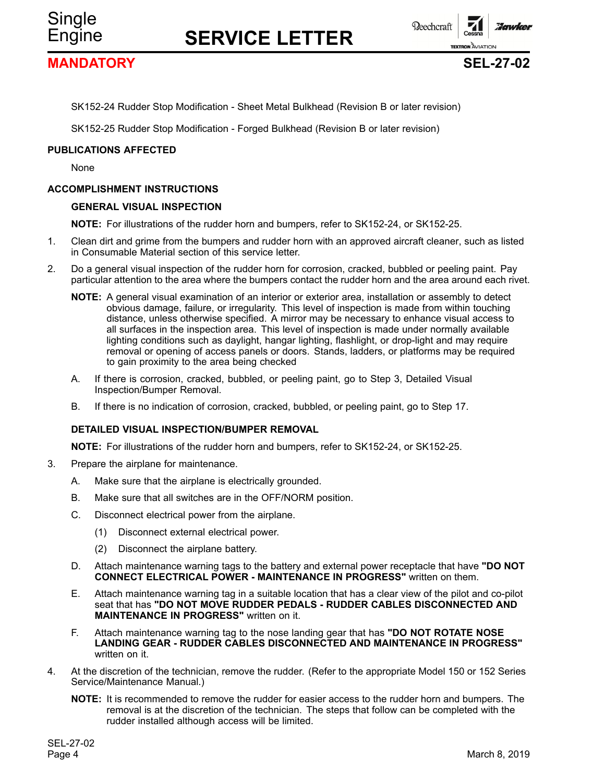

**Beechcraft** 

## **MANDATORY SEL-27-02**

Single

**TEXTRON AVIATION** 

Zonwice

SK152-24 Rudder Stop Modification - Sheet Metal Bulkhead (Revision B or later revision)

SK152-25 Rudder Stop Modification - Forged Bulkhead (Revision B or later revision)

## **PUBLICATIONS AFFECTED**

None

#### **ACCOMPLISHMENT INSTRUCTIONS**

#### **GENERAL VISUAL INSPECTION**

**NOTE:** For illustrations of the rudder horn and bumpers, refer to SK152-24, or SK152-25.

- 1. Clean dirt and grime from the bumpers and rudder horn with an approved aircraft cleaner, such as listed in Consumable Material section of this service letter.
- 2. Do <sup>a</sup> general visual inspection of the rudder horn for corrosion, cracked, bubbled or peeling paint. Pay particular attention to the area where the bumpers contact the rudder horn and the area around each rivet.
	- **NOTE:** A general visual examination of an interior or exterior area, installation or assembly to detect obvious damage, failure, or irregularity. This level of inspection is made from within touching distance, unless otherwise specified. A mirror may be necessary to enhance visual access to all surfaces in the inspection area. This level of inspection is made under normally available lighting conditions such as daylight, hangar lighting, flashlight, or drop-light and may require removal or opening of access panels or doors. Stands, ladders, or platforms may be required to gain proximity to the area being checked
	- A. If there is corrosion, cracked, bubbled, or peeling paint, go to Step 3, Detailed Visual Inspection/Bumper Removal.
	- B. If there is no indication of corrosion, cracked, bubbled, or peeling paint, go to Step 17.

## **DETAILED VISUAL INSPECTION/BUMPER REMOVAL**

**NOTE:** For illustrations of the rudder horn and bumpers, refer to SK152-24, or SK152-25.

- 3. Prepare the airplane for maintenance.
	- A. Make sure that the airplane is electrically grounded.
	- B. Make sure that all switches are in the OFF/NORM position.
	- C. Disconnect electrical power from the airplane.
		- (1) Disconnect external electrical power.
		- (2) Disconnect the airplane battery.
	- D. Attach maintenance warning tags to the battery and external power receptacle that have **"DO NOT CONNECT ELECTRICAL POWER - MAINTENANCE IN PROGRESS"** written on them.
	- E. Attach maintenance warning tag in <sup>a</sup> suitable location that has <sup>a</sup> clear view of the pilot and co-pilot seat that has **"DO NOT MOVE RUDDER PEDALS - RUDDER CABLES DISCONNECTED AND MAINTENANCE IN PROGRESS"** written on it.
	- F. Attach maintenance warning tag to the nose landing gear that has **"DO NOT ROTATE NOSE LANDING GEAR - RUDDER CABLES DISCONNECTED AND MAINTENANCE IN PROGRESS"** written on it.
- 4. At the discretion of the technician, remove the rudder. (Refer to the appropriate Model 150 or 152 Series Service/Maintenance Manual.)
	- **NOTE:** It is recommended to remove the rudder for easier access to the rudder horn and bumpers. The removal is at the discretion of the technician. The steps that follow can be completed with the rudder installed although access will be limited.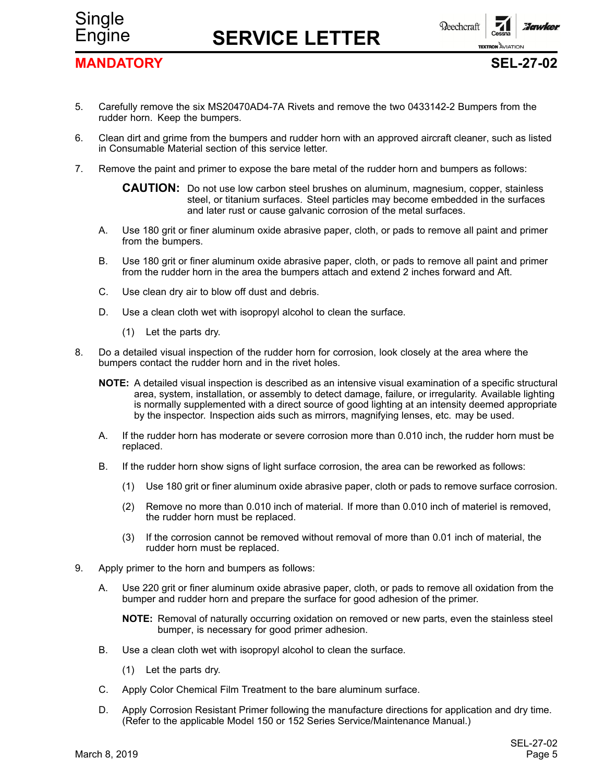

Engine **SERVICE LETTER**



## **MANDATORY SEL-27-02**

- 5. Carefully remove the six MS20470AD4-7A Rivets and remove the two 0433142-2 Bumpers from the rudder horn. Keep the bumpers.
- 6. Clean dirt and grime from the bumpers and rudder horn with an approved aircraft cleaner, such as listed in Consumable Material section of this service letter.
- 7. Remove the paint and primer to expose the bare metal of the rudder horn and bumpers as follows:

**CAUTION:** Do not use low carbon steel brushes on aluminum, magnesium, copper, stainless steel, or titanium surfaces. Steel particles may become embedded in the surfaces and later rust or cause galvanic corrosion of the metal surfaces.

- A. Use 180 grit or finer aluminum oxide abrasive paper, cloth, or pads to remove all paint and primer from the bumpers.
- B. Use 180 grit or finer aluminum oxide abrasive paper, cloth, or pads to remove all paint and primer from the rudder horn in the area the bumpers attach and extend 2 inches forward and Aft.
- C. Use clean dry air to blow off dust and debris.
- D. Use <sup>a</sup> clean cloth wet with isopropyl alcohol to clean the surface.
	- (1) Let the parts dry.
- 8. Do <sup>a</sup> detailed visual inspection of the rudder horn for corrosion, look closely at the area where the bumpers contact the rudder horn and in the rivet holes.
	- **NOTE:** A detailed visual inspection is described as an intensive visual examination of <sup>a</sup> specific structural area, system, installation, or assembly to detect damage, failure, or irregularity. Available lighting is normally supplemented with <sup>a</sup> direct source of good lighting at an intensity deemed appropriate by the inspector. Inspection aids such as mirrors, magnifying lenses, etc. may be used.
	- A. If the rudder horn has moderate or severe corrosion more than 0.010 inch, the rudder horn must be replaced.
	- B. If the rudder horn show signs of light surface corrosion, the area can be reworked as follows:
		- (1) Use 180 grit or finer aluminum oxide abrasive paper, cloth or pads to remove surface corrosion.
		- (2) Remove no more than 0.010 inch of material. If more than 0.010 inch of materiel is removed, the rudder horn must be replaced.
		- (3) If the corrosion cannot be removed without removal of more than 0.01 inch of material, the rudder horn must be replaced.
- 9. Apply primer to the horn and bumpers as follows:
	- A. Use 220 grit or finer aluminum oxide abrasive paper, cloth, or pads to remove all oxidation from the bumper and rudder horn and prepare the surface for good adhesion of the primer.
		- **NOTE:** Removal of naturally occurring oxidation on removed or new parts, even the stainless steel bumper, is necessary for good primer adhesion.
	- B. Use <sup>a</sup> clean cloth wet with isopropyl alcohol to clean the surface.
		- (1) Let the parts dry.
	- C. Apply Color Chemical Film Treatment to the bare aluminum surface.
	- D. Apply Corrosion Resistant Primer following the manufacture directions for application and dry time. (Refer to the applicable Model 150 or 152 Series Service/Maintenance Manual.)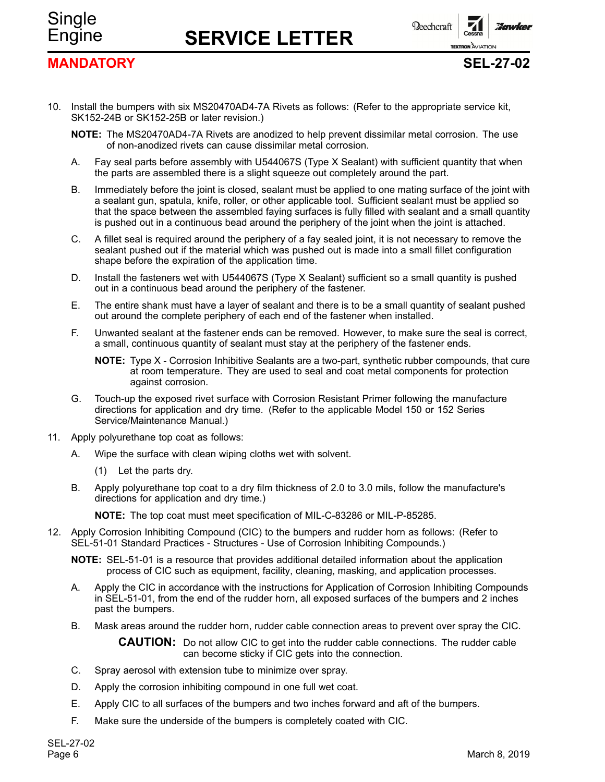## **MANDATORY SEL-27-02**

Single

Engine **SERVICE LETTER**



**TEXTRON AVIATION** 

**Florunkey** 

- 10. Install the bumpers with six MS20470AD4-7A Rivets as follows: (Refer to the appropriate service kit, SK152-24B or SK152-25B or later revision.)
	- **NOTE:** The MS20470AD4-7A Rivets are anodized to help prevent dissimilar metal corrosion. The use of non-anodized rivets can cause dissimilar metal corrosion.
	- A. Fay seal parts before assembly with U544067S (Type X Sealant) with sufficient quantity that when the parts are assembled there is <sup>a</sup> slight squeeze out completely around the part.
	- B. Immediately before the joint is closed, sealant must be applied to one mating surface of the joint with <sup>a</sup> sealant gun, spatula, knife, roller, or other applicable tool. Sufficient sealant must be applied so that the space between the assembled faying surfaces is fully filled with sealant and <sup>a</sup> small quantity is pushed out in <sup>a</sup> continuous bead around the periphery of the joint when the joint is attached.
	- C. A fillet seal is required around the periphery of <sup>a</sup> fay sealed joint, it is not necessary to remove the sealant pushed out if the material which was pushed out is made into <sup>a</sup> small fillet configuration shape before the expiration of the application time.
	- D. Install the fasteners wet with U544067S (Type X Sealant) sufficient so <sup>a</sup> small quantity is pushed out in <sup>a</sup> continuous bead around the periphery of the fastener.
	- E. The entire shank must have <sup>a</sup> layer of sealant and there is to be <sup>a</sup> small quantity of sealant pushed out around the complete periphery of each end of the fastener when installed.
	- F. Unwanted sealant at the fastener ends can be removed. However, to make sure the seal is correct, <sup>a</sup> small, continuous quantity of sealant must stay at the periphery of the fastener ends.
		- **NOTE:** Type X Corrosion Inhibitive Sealants are <sup>a</sup> two-part, synthetic rubber compounds, that cure at room temperature. They are used to seal and coat metal components for protection against corrosion.
	- G. Touch-up the exposed rivet surface with Corrosion Resistant Primer following the manufacture directions for application and dry time. (Refer to the applicable Model 150 or 152 Series Service/Maintenance Manual.)
- 11. Apply polyurethane top coat as follows:
	- A. Wipe the surface with clean wiping cloths wet with solvent.
		- (1) Let the parts dry.
	- B. Apply polyurethane top coat to <sup>a</sup> dry film thickness of 2.0 to 3.0 mils, follow the manufacture's directions for application and dry time.)

**NOTE:** The top coat must meet specification of MIL-C-83286 or MIL-P-85285.

12. Apply Corrosion Inhibiting Compound (CIC) to the bumpers and rudder horn as follows: (Refer to SEL-51-01 Standard Practices - Structures - Use of Corrosion Inhibiting Compounds.)

**NOTE:** SEL-51-01 is <sup>a</sup> resource that provides additional detailed information about the application process of CIC such as equipment, facility, cleaning, masking, and application processes.

- A. Apply the CIC in accordance with the instructions for Application of Corrosion Inhibiting Compounds in SEL-51-01, from the end of the rudder horn, all exposed surfaces of the bumpers and 2 inches past the bumpers.
- B. Mask areas around the rudder horn, rudder cable connection areas to prevent over spray the CIC.

**CAUTION:** Do not allow CIC to get into the rudder cable connections. The rudder cable can become sticky if CIC gets into the connection.

- C. Spray aerosol with extension tube to minimize over spray.
- D. Apply the corrosion inhibiting compound in one full wet coat.
- E. Apply CIC to all surfaces of the bumpers and two inches forward and aft of the bumpers.
- F. Make sure the underside of the bumpers is completely coated with CIC.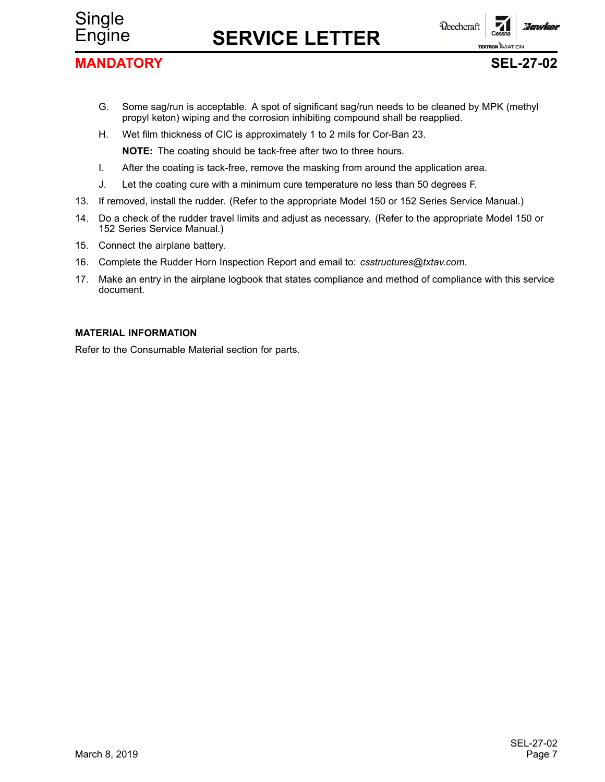## **MANDATORY SEL-27-02**

Single

Engine **SERVICE LETTER**



- G. Some sag/run is acceptable. A spot of significant sag/run needs to be cleaned by MPK (methyl propyl keton) wiping and the corrosion inhibiting compound shall be reapplied.
- H. Wet film thickness of CIC is approximately 1 to 2 mils for Cor-Ban 23.

**NOTE:** The coating should be tack-free after two to three hours.

- I. After the coating is tack-free, remove the masking from around the application area.
- J. Let the coating cure with <sup>a</sup> minimum cure temperature no less than 50 degrees F.
- 13. If removed, install the rudder. (Refer to the appropriate Model 150 or 152 Series Service Manual.)
- 14. Do <sup>a</sup> check of the rudder travel limits and adjust as necessary. (Refer to the appropriate Model 150 or 152 Series Service Manual.)
- 15. Connect the airplane battery.
- 16. Complete the Rudder Horn Inspection Report and email to: *csstructures@txtav.com*.
- 17. Make an entry in the airplane logbook that states compliance and method of compliance with this service document.

## **MATERIAL INFORMATION**

Refer to the Consumable Material section for parts.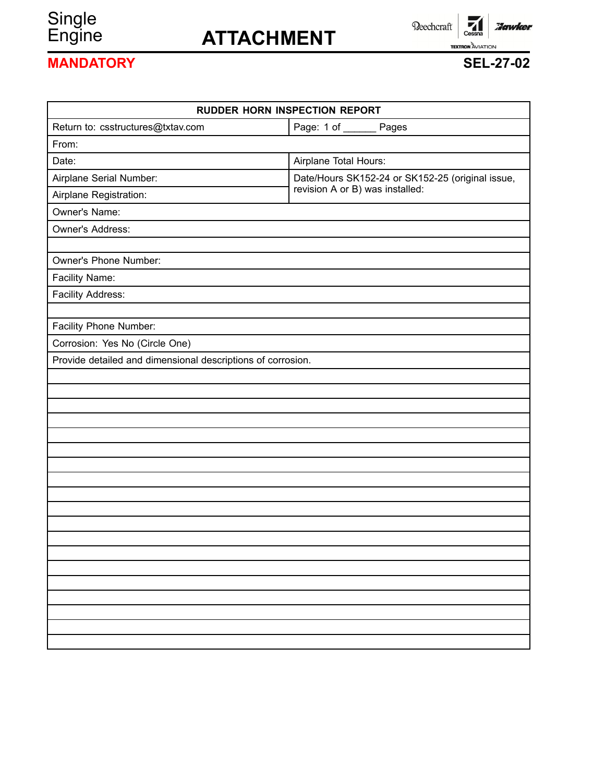# Single<br>Engine

## Engine **ATTACHMENT**

Beechcraft

 $\overline{\phantom{a}}$ Cessna **Hawker TEXTRON AVIATION** 

## **MANDATORY SEL-27-02**

| <b>RUDDER HORN INSPECTION REPORT</b>                        |                                                  |  |  |  |
|-------------------------------------------------------------|--------------------------------------------------|--|--|--|
| Return to: csstructures@txtav.com                           | Page: 1 of _______ Pages                         |  |  |  |
| From:                                                       |                                                  |  |  |  |
| Date:                                                       | Airplane Total Hours:                            |  |  |  |
| Airplane Serial Number:                                     | Date/Hours SK152-24 or SK152-25 (original issue, |  |  |  |
| Airplane Registration:                                      | revision A or B) was installed:                  |  |  |  |
| Owner's Name:                                               |                                                  |  |  |  |
| Owner's Address:                                            |                                                  |  |  |  |
|                                                             |                                                  |  |  |  |
| Owner's Phone Number:                                       |                                                  |  |  |  |
| Facility Name:                                              |                                                  |  |  |  |
| Facility Address:                                           |                                                  |  |  |  |
|                                                             |                                                  |  |  |  |
| Facility Phone Number:                                      |                                                  |  |  |  |
| Corrosion: Yes No (Circle One)                              |                                                  |  |  |  |
| Provide detailed and dimensional descriptions of corrosion. |                                                  |  |  |  |
|                                                             |                                                  |  |  |  |
|                                                             |                                                  |  |  |  |
|                                                             |                                                  |  |  |  |
|                                                             |                                                  |  |  |  |
|                                                             |                                                  |  |  |  |
|                                                             |                                                  |  |  |  |
|                                                             |                                                  |  |  |  |
|                                                             |                                                  |  |  |  |
|                                                             |                                                  |  |  |  |
|                                                             |                                                  |  |  |  |
|                                                             |                                                  |  |  |  |
|                                                             |                                                  |  |  |  |
|                                                             |                                                  |  |  |  |
|                                                             |                                                  |  |  |  |
|                                                             |                                                  |  |  |  |
|                                                             |                                                  |  |  |  |